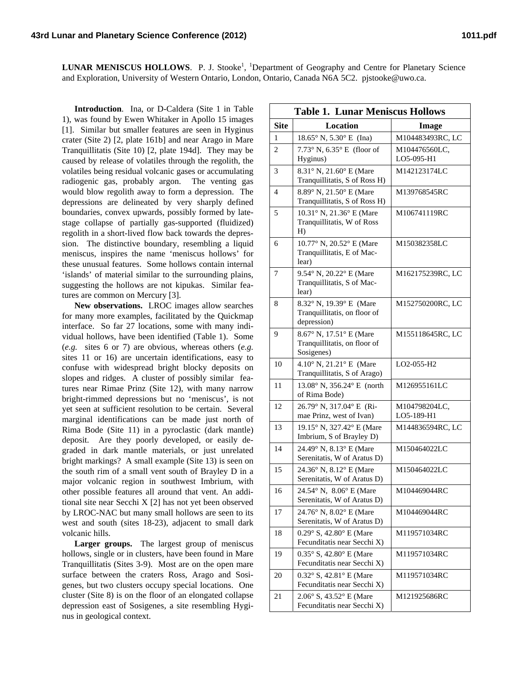LUNAR MENISCUS HOLLOWS. P. J. Stooke<sup>1</sup>, <sup>1</sup>Department of Geography and Centre for Planetary Science and Exploration, University of Western Ontario, London, Ontario, Canada N6A 5C2. pjstooke@uwo.ca.

**Introduction**. Ina, or D-Caldera (Site 1 in Table 1), was found by Ewen Whitaker in Apollo 15 images [1]. Similar but smaller features are seen in Hyginus crater (Site 2) [2, plate 161b] and near Arago in Mare Tranquillitatis (Site 10) [2, plate 194d]. They may be caused by release of volatiles through the regolith, the volatiles being residual volcanic gases or accumulating radiogenic gas, probably argon. The venting gas would blow regolith away to form a depression. The depressions are delineated by very sharply defined boundaries, convex upwards, possibly formed by latestage collapse of partially gas-supported (fluidized) regolith in a short-lived flow back towards the depression. The distinctive boundary, resembling a liquid meniscus, inspires the name 'meniscus hollows' for these unusual features. Some hollows contain internal 'islands' of material similar to the surrounding plains, suggesting the hollows are not kipukas. Similar features are common on Mercury [3].

**New observations.** LROC images allow searches for many more examples, facilitated by the Quickmap interface. So far 27 locations, some with many individual hollows, have been identified (Table 1). Some (*e.g.* sites 6 or 7) are obvious, whereas others (*e.g.* sites 11 or 16) are uncertain identifications, easy to confuse with widespread bright blocky deposits on slopes and ridges. A cluster of possibly similar features near Rimae Prinz (Site 12), with many narrow bright-rimmed depressions but no 'meniscus', is not yet seen at sufficient resolution to be certain. Several marginal identifications can be made just north of Rima Bode (Site 11) in a pyroclastic (dark mantle) deposit. Are they poorly developed, or easily degraded in dark mantle materials, or just unrelated bright markings? A small example (Site 13) is seen on the south rim of a small vent south of Brayley D in a major volcanic region in southwest Imbrium, with other possible features all around that vent. An additional site near Secchi X [2] has not yet been observed by LROC-NAC but many small hollows are seen to its west and south (sites 18-23), adjacent to small dark volcanic hills.

**Larger groups.** The largest group of meniscus hollows, single or in clusters, have been found in Mare Tranquillitatis (Sites 3-9). Most are on the open mare surface between the craters Ross, Arago and Sosigenes, but two clusters occupy special locations. One cluster (Site 8) is on the floor of an elongated collapse depression east of Sosigenes, a site resembling Hyginus in geological context.

| <b>Table 1. Lunar Meniscus Hollows</b> |                                                                        |                             |
|----------------------------------------|------------------------------------------------------------------------|-----------------------------|
| <b>Site</b>                            | <b>Location</b>                                                        | Image                       |
| 1                                      | $18.65^{\circ}$ N, $5.30^{\circ}$ E (Ina)                              | M104483493RC, LC            |
| 2                                      | $7.73^{\circ}$ N, $6.35^{\circ}$ E (floor of                           | M104476560LC,               |
|                                        | Hyginus)                                                               | LO5-095-H1                  |
| 3                                      | 8.31° N, 21.60° E (Mare<br>Tranquillitatis, S of Ross H)               | M142123174LC                |
| $\overline{4}$                         | 8.89° N, 21.50° E (Mare<br>Tranquillitatis, S of Ross H)               | M139768545RC                |
| 5                                      | 10.31° N, 21.36° E (Mare<br>Tranquillitatis, W of Ross<br>H)           | M106741119RC                |
| 6                                      | 10.77° N, 20.52° E (Mare<br>Tranquillitatis, E of Mac-<br>lear)        | M150382358LC                |
| 7                                      | 9.54° N, 20.22° E (Mare<br>Tranquillitatis, S of Mac-<br>lear)         | M162175239RC, LC            |
| 8                                      | 8.32° N, 19.39° E (Mare<br>Tranquillitatis, on floor of<br>depression) | M152750200RC, LC            |
| 9                                      | 8.67° N, 17.51° E (Mare<br>Tranquillitatis, on floor of<br>Sosigenes)  | M155118645RC, LC            |
| 10                                     | 4.10° N, 21.21° E (Mare<br>Tranquillitatis, S of Arago)                | LO2-055-H2                  |
| 11                                     | 13.08° N, 356.24° E (north<br>of Rima Bode)                            | M126955161LC                |
| 12                                     | 26.79° N, 317.04° E (Ri-<br>mae Prinz, west of Ivan)                   | M104798204LC,<br>LO5-189-H1 |
| 13                                     | 19.15° N, 327.42° E (Mare<br>Imbrium, S of Brayley D)                  | M144836594RC, LC            |
| 14                                     | 24.49° N, 8.13° E (Mare<br>Serenitatis, W of Aratus D)                 | M150464022LC                |
| 15                                     | 24.36° N, 8.12° E (Mare<br>Serenitatis, W of Aratus D)                 | M150464022LC                |
| 16                                     | 24.54° N, 8.06° E (Mare<br>Serenitatis, W of Aratus D)                 | M104469044RC                |
| 17                                     | 24.76° N, 8.02° E (Mare<br>Serenitatis, W of Aratus D)                 | M104469044RC                |
| 18                                     | 0.29° S, 42.80° E (Mare<br>Fecunditatis near Secchi X)                 | M119571034RC                |
| 19                                     | 0.35° S, 42.80° E (Mare<br>Fecunditatis near Secchi X)                 | M119571034RC                |
| 20                                     | 0.32° S, 42.81° E (Mare<br>Fecunditatis near Secchi X)                 | M119571034RC                |
| 21                                     | 2.06° S, 43.52° E (Mare<br>Fecunditatis near Secchi X)                 | M121925686RC                |